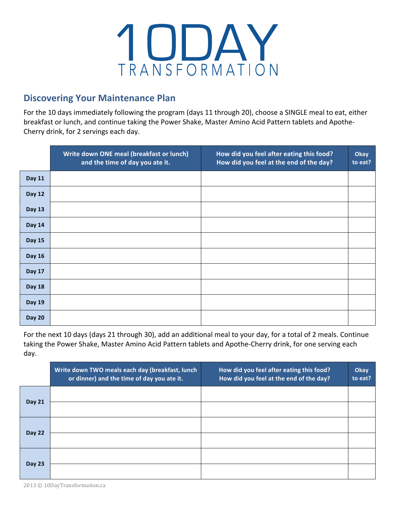

## **Discovering Your Maintenance Plan**

For the 10 days immediately following the program (days 11 through 20), choose a SINGLE meal to eat, either breakfast or lunch, and continue taking the Power Shake, Master Amino Acid Pattern tablets and Apothe-Cherry drink, for 2 servings each day.

|               | Write down ONE meal (breakfast or lunch)<br>and the time of day you ate it. | How did you feel after eating this food?<br>How did you feel at the end of the day? | Okay<br>to eat? |
|---------------|-----------------------------------------------------------------------------|-------------------------------------------------------------------------------------|-----------------|
| Day 11        |                                                                             |                                                                                     |                 |
| Day 12        |                                                                             |                                                                                     |                 |
| <b>Day 13</b> |                                                                             |                                                                                     |                 |
| <b>Day 14</b> |                                                                             |                                                                                     |                 |
| <b>Day 15</b> |                                                                             |                                                                                     |                 |
| Day 16        |                                                                             |                                                                                     |                 |
| Day 17        |                                                                             |                                                                                     |                 |
| <b>Day 18</b> |                                                                             |                                                                                     |                 |
| <b>Day 19</b> |                                                                             |                                                                                     |                 |
| <b>Day 20</b> |                                                                             |                                                                                     |                 |

For the next 10 days (days 21 through 30), add an additional meal to your day, for a total of 2 meals. Continue taking the Power Shake, Master Amino Acid Pattern tablets and Apothe-Cherry drink, for one serving each day.

|               | Write down TWO meals each day (breakfast, lunch<br>or dinner) and the time of day you ate it. | How did you feel after eating this food?<br>How did you feel at the end of the day? | Okay<br>to eat? |
|---------------|-----------------------------------------------------------------------------------------------|-------------------------------------------------------------------------------------|-----------------|
| <b>Day 21</b> |                                                                                               |                                                                                     |                 |
|               |                                                                                               |                                                                                     |                 |
| <b>Day 22</b> |                                                                                               |                                                                                     |                 |
|               |                                                                                               |                                                                                     |                 |
| <b>Day 23</b> |                                                                                               |                                                                                     |                 |
|               |                                                                                               |                                                                                     |                 |